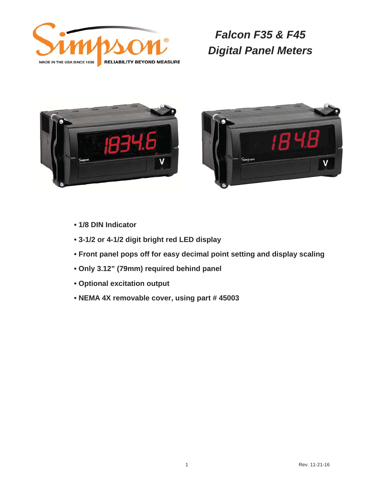





- **1/8 DIN Indicator**
- **3-1/2 or 4-1/2 digit bright red LED display**
- **Front panel pops off for easy decimal point setting and display scaling**
- **Only 3.12" (79mm) required behind panel**
- **Optional excitation output**
- **NEMA 4X removable cover, using part # 45003**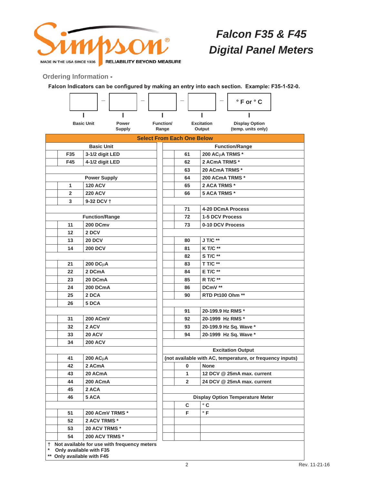

**Ordering Information -**

Falcon Indicators can be configured by making an entry into each section. Example: F35-1-52-0.

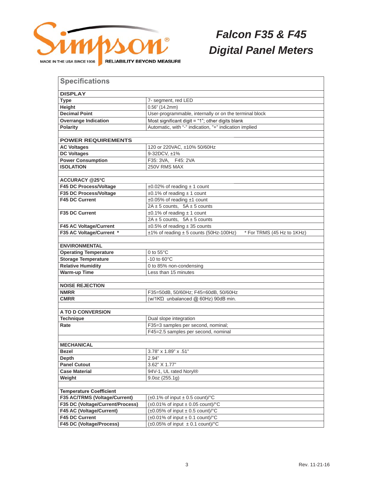

| <b>Specifications</b>                               |                                                                        |  |  |  |  |  |  |
|-----------------------------------------------------|------------------------------------------------------------------------|--|--|--|--|--|--|
|                                                     |                                                                        |  |  |  |  |  |  |
| <b>DISPLAY</b>                                      |                                                                        |  |  |  |  |  |  |
| <b>Type</b>                                         | 7- segment, red LED                                                    |  |  |  |  |  |  |
| Height                                              | $0.56"$ (14.2mm)                                                       |  |  |  |  |  |  |
| <b>Decimal Point</b>                                | User-programmable, internally or on the terminal block                 |  |  |  |  |  |  |
| <b>Overrange Indication</b>                         | Most significant digit $=$ "1"; other digits blank                     |  |  |  |  |  |  |
| <b>Polarity</b>                                     | Automatic, with "-" indication, "+" indication implied                 |  |  |  |  |  |  |
|                                                     |                                                                        |  |  |  |  |  |  |
| <b>POWER REQUIREMENTS</b>                           |                                                                        |  |  |  |  |  |  |
| <b>AC Voltages</b>                                  | 120 or 220VAC, ±10% 50/60Hz                                            |  |  |  |  |  |  |
| <b>DC Voltages</b>                                  | 9-32DCV. ±1%                                                           |  |  |  |  |  |  |
| <b>Power Consumption</b>                            | F35: 3VA, F45: 2VA                                                     |  |  |  |  |  |  |
| <b>ISOLATION</b>                                    | 250V RMS MAX                                                           |  |  |  |  |  |  |
|                                                     |                                                                        |  |  |  |  |  |  |
| <b>ACCURACY @25°C</b>                               |                                                                        |  |  |  |  |  |  |
| F45 DC Process/Voltage                              | $\pm 0.02\%$ of reading $\pm 1$ count                                  |  |  |  |  |  |  |
| F35 DC Process/Voltage                              | $\pm 0.1\%$ of reading $\pm 1$ count                                   |  |  |  |  |  |  |
| <b>F45 DC Current</b>                               | ±0.05% of reading ±1 count                                             |  |  |  |  |  |  |
|                                                     | $2A \pm 5$ counts, $5A \pm 5$ counts                                   |  |  |  |  |  |  |
| <b>F35 DC Current</b>                               | $\pm 0.1\%$ of reading $\pm 1$ count                                   |  |  |  |  |  |  |
|                                                     | $2A \pm 5$ counts, $5A \pm 5$ counts                                   |  |  |  |  |  |  |
| F45 AC Voltage/Current                              | $\pm 0.5\%$ of reading $\pm 35$ counts                                 |  |  |  |  |  |  |
| F35 AC Voltage/Current *                            | ±1% of reading ± 5 counts (50Hz-100Hz)<br>* For TRMS (45 Hz to 1KHz)   |  |  |  |  |  |  |
|                                                     |                                                                        |  |  |  |  |  |  |
| <b>ENVIRONMENTAL</b>                                |                                                                        |  |  |  |  |  |  |
| <b>Operating Temperature</b><br>0 to $55^{\circ}$ C |                                                                        |  |  |  |  |  |  |
| <b>Storage Temperature</b>                          | -10 to $60^{\circ}$ C                                                  |  |  |  |  |  |  |
| <b>Relative Humidity</b>                            | 0 to 85% non-condensing                                                |  |  |  |  |  |  |
| <b>Warm-up Time</b>                                 | Less than 15 minutes                                                   |  |  |  |  |  |  |
|                                                     |                                                                        |  |  |  |  |  |  |
| <b>NOISE REJECTION</b>                              |                                                                        |  |  |  |  |  |  |
| <b>NMRR</b>                                         | F35=50dB, 50/60Hz; F45=60dB, 50/60Hz                                   |  |  |  |  |  |  |
| <b>CMRR</b>                                         | (w/1KΩ unbalanced @ 60Hz) 90dB min.                                    |  |  |  |  |  |  |
|                                                     |                                                                        |  |  |  |  |  |  |
| A TO D CONVERSION                                   |                                                                        |  |  |  |  |  |  |
| <b>Technique</b>                                    | Dual slope integration                                                 |  |  |  |  |  |  |
| Rate                                                | F35=3 samples per second, nominal;                                     |  |  |  |  |  |  |
|                                                     | F45=2.5 samples per second, nominal                                    |  |  |  |  |  |  |
|                                                     |                                                                        |  |  |  |  |  |  |
| <b>MECHANICAL</b>                                   |                                                                        |  |  |  |  |  |  |
| <b>Bezel</b>                                        | 3.78" x 1.89" x .51"                                                   |  |  |  |  |  |  |
| Depth                                               | 2.94"                                                                  |  |  |  |  |  |  |
| <b>Panel Cutout</b>                                 | 3.62" X 1.77"                                                          |  |  |  |  |  |  |
| <b>Case Material</b>                                | 94V-1, UL rated Noryl®                                                 |  |  |  |  |  |  |
| Weight                                              | 9.0oz(255.1g)                                                          |  |  |  |  |  |  |
|                                                     |                                                                        |  |  |  |  |  |  |
| <b>Temperature Coefficient</b>                      |                                                                        |  |  |  |  |  |  |
| F35 AC/TRMS (Voltage/Current)                       | $(\pm 0.1\% \text{ of input } \pm 0.5 \text{ count})$ <sup>o</sup> C   |  |  |  |  |  |  |
| F35 DC (Voltage/Current/Process)                    | $(\pm 0.01\% \text{ of input } \pm 0.05 \text{ count})$ <sup>o</sup> C |  |  |  |  |  |  |
| F45 AC (Voltage/Current)                            | $(\pm 0.05\% \text{ of input } \pm 0.5 \text{ count})$ <sup>o</sup> C  |  |  |  |  |  |  |
| F45 DC Current                                      | $(\pm 0.01\% \text{ of input } \pm 0.1 \text{ count})$ <sup>o</sup> C  |  |  |  |  |  |  |
| F45 DC (Voltage/Process)                            | $(\pm 0.05\% \text{ of input } \pm 0.1 \text{ count})$ <sup>o</sup> C  |  |  |  |  |  |  |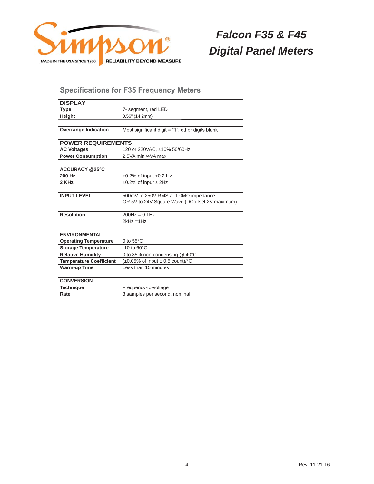

| <b>Specifications for F35 Frequency Meters</b> |                                                                       |  |  |  |  |  |
|------------------------------------------------|-----------------------------------------------------------------------|--|--|--|--|--|
| <b>DISPLAY</b>                                 |                                                                       |  |  |  |  |  |
| <b>Type</b>                                    | 7- segment, red LED                                                   |  |  |  |  |  |
| Height                                         | $0.56"$ (14.2mm)                                                      |  |  |  |  |  |
|                                                |                                                                       |  |  |  |  |  |
| <b>Overrange Indication</b>                    | Most significant digit $=$ "1"; other digits blank                    |  |  |  |  |  |
|                                                |                                                                       |  |  |  |  |  |
| <b>POWER REQUIREMENTS</b>                      |                                                                       |  |  |  |  |  |
| <b>AC Voltages</b>                             | 120 or 220VAC, ±10% 50/60Hz                                           |  |  |  |  |  |
| <b>Power Consumption</b>                       | 2.5VA min./4VA max.                                                   |  |  |  |  |  |
|                                                |                                                                       |  |  |  |  |  |
| <b>ACCURACY @25°C</b>                          |                                                                       |  |  |  |  |  |
| 200 Hz                                         | $\pm 0.2\%$ of input $\pm 0.2$ Hz                                     |  |  |  |  |  |
| 2 KHz                                          | $\pm 0.2\%$ of input $\pm 2$ Hz                                       |  |  |  |  |  |
|                                                |                                                                       |  |  |  |  |  |
| <b>INPUT LEVEL</b>                             | 500mV to 250V RMS at 1.0MΩ impedance                                  |  |  |  |  |  |
|                                                | OR 5V to 24V Square Wave (DCoffset 2V maximum)                        |  |  |  |  |  |
|                                                |                                                                       |  |  |  |  |  |
| <b>Resolution</b>                              | $200Hz = 0.1Hz$                                                       |  |  |  |  |  |
|                                                | $2kHz = 1Hz$                                                          |  |  |  |  |  |
|                                                |                                                                       |  |  |  |  |  |
| <b>ENVIRONMENTAL</b>                           |                                                                       |  |  |  |  |  |
| <b>Operating Temperature</b>                   | 0 to $55^{\circ}$ C                                                   |  |  |  |  |  |
| <b>Storage Temperature</b>                     | $-10$ to $60^{\circ}$ C                                               |  |  |  |  |  |
| <b>Relative Humidity</b>                       | 0 to 85% non-condensing @ 40°C                                        |  |  |  |  |  |
| <b>Temperature Coefficient</b>                 | $(\pm 0.05\% \text{ of input } \pm 0.5 \text{ count})$ <sup>o</sup> C |  |  |  |  |  |
| <b>Warm-up Time</b>                            | Less than 15 minutes                                                  |  |  |  |  |  |
|                                                |                                                                       |  |  |  |  |  |
| <b>CONVERSION</b>                              |                                                                       |  |  |  |  |  |
| <b>Technique</b>                               | Frequency-to-voltage                                                  |  |  |  |  |  |
| Rate                                           | 3 samples per second, nominal                                         |  |  |  |  |  |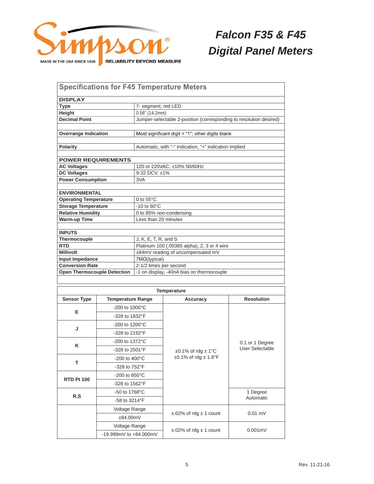

| <b>Specifications for F45 Temperature Meters</b> |                             |                                             |                                                                        |                                                 |  |  |  |
|--------------------------------------------------|-----------------------------|---------------------------------------------|------------------------------------------------------------------------|-------------------------------------------------|--|--|--|
| <b>DISPLAY</b>                                   |                             |                                             |                                                                        |                                                 |  |  |  |
| 7- segment, red LED<br><b>Type</b>               |                             |                                             |                                                                        |                                                 |  |  |  |
| Height                                           |                             |                                             | $0.56"$ (14.2mm)                                                       |                                                 |  |  |  |
| <b>Decimal Point</b>                             |                             |                                             | Jumper-selectable 2-position (corresponding to resolution desired)     |                                                 |  |  |  |
|                                                  |                             |                                             |                                                                        |                                                 |  |  |  |
| <b>Overrange Indication</b>                      |                             |                                             | Most significant digit $=$ "1"; other digits blank                     |                                                 |  |  |  |
| <b>Polarity</b>                                  |                             |                                             | Automatic, with "-" indication, "+" indication implied                 |                                                 |  |  |  |
|                                                  |                             |                                             |                                                                        |                                                 |  |  |  |
| <b>POWER REQUIREMENTS</b>                        |                             |                                             |                                                                        |                                                 |  |  |  |
| <b>AC Voltages</b>                               |                             | 120 or 220VAC, ±10% 50/60Hz                 |                                                                        |                                                 |  |  |  |
| <b>DC Voltages</b>                               |                             | 9-32 DCV, ±1%                               |                                                                        |                                                 |  |  |  |
| <b>Power Consumption</b>                         |                             | 3VA                                         |                                                                        |                                                 |  |  |  |
| <b>ENVIRONMENTAL</b>                             |                             |                                             |                                                                        |                                                 |  |  |  |
| <b>Operating Temperature</b>                     |                             | 0 to $55^{\circ}$ C                         |                                                                        |                                                 |  |  |  |
| <b>Storage Temperature</b>                       |                             | $-10$ to $60^{\circ}$ C                     |                                                                        |                                                 |  |  |  |
| <b>Relative Humidity</b>                         |                             |                                             | 0 to 85% non-condensing                                                |                                                 |  |  |  |
| <b>Warm-up Time</b>                              |                             | Less than 20 minutes                        |                                                                        |                                                 |  |  |  |
| <b>INPUTS</b>                                    |                             |                                             |                                                                        |                                                 |  |  |  |
| Thermocouple                                     |                             | J, K, E, T, R, and S                        |                                                                        |                                                 |  |  |  |
| <b>RTD</b>                                       |                             | Platinum 100 (.00385 alpha), 2, 3 or 4 wire |                                                                        |                                                 |  |  |  |
| <b>Millivolt</b>                                 |                             | ±84mV reading of uncompensated mV           |                                                                        |                                                 |  |  |  |
| Input Impedance                                  |                             | 7M <sub>Ω</sub> (typical)                   |                                                                        |                                                 |  |  |  |
| <b>Conversion Rate</b>                           |                             | 2-1/2 times per second                      |                                                                        |                                                 |  |  |  |
| <b>Open Thermocouple Detection</b>               |                             |                                             | -1 on display, -40nA bias on thermocouple                              |                                                 |  |  |  |
|                                                  |                             |                                             |                                                                        |                                                 |  |  |  |
|                                                  |                             |                                             | <b>Temperature</b>                                                     |                                                 |  |  |  |
| <b>Sensor Type</b>                               | <b>Temperature Range</b>    |                                             | Accuracy                                                               | <b>Resolution</b>                               |  |  |  |
|                                                  | $-200$ to $1000^{\circ}$ C  |                                             |                                                                        | 0.1 or 1 Degree                                 |  |  |  |
| Е                                                | -328 to 1832°F              |                                             |                                                                        |                                                 |  |  |  |
|                                                  | $-200$ to 1200 $^{\circ}$ C |                                             |                                                                        |                                                 |  |  |  |
| J                                                | -328 to 2192°F              |                                             |                                                                        |                                                 |  |  |  |
|                                                  | -200 to 1372°C              |                                             |                                                                        |                                                 |  |  |  |
| K                                                | -328 to 2501°F              |                                             |                                                                        | <b>User Selectable</b><br>1 Degree<br>Automatic |  |  |  |
| -200 to 400°C                                    |                             |                                             | $\pm 0.1\%$ of rdg $\pm 1\degree$ C<br>$\pm 0.1\%$ of rdg $\pm 1.8$ °F |                                                 |  |  |  |
| т                                                |                             |                                             |                                                                        |                                                 |  |  |  |
| -328 to 752°F                                    |                             |                                             |                                                                        |                                                 |  |  |  |
| -200 to 850°C<br><b>RTD Pt 100</b>               |                             |                                             |                                                                        |                                                 |  |  |  |
| -328 to 1562°F                                   |                             |                                             |                                                                        |                                                 |  |  |  |
| -50 to 1768°C<br>R, S                            |                             |                                             |                                                                        |                                                 |  |  |  |
| -58 to 3214°F                                    |                             |                                             |                                                                        |                                                 |  |  |  |
| Voltage Range                                    |                             |                                             | $\pm$ .02% of rdg $\pm$ 1 count                                        | $0.01$ mV                                       |  |  |  |
|                                                  | ±84.00mV                    |                                             |                                                                        |                                                 |  |  |  |
|                                                  | Voltage Range               |                                             |                                                                        |                                                 |  |  |  |
|                                                  | -19.999mV to +84.000mV      |                                             | $\pm$ .02% of rdg $\pm$ 1 count                                        | $0.001$ m $V$                                   |  |  |  |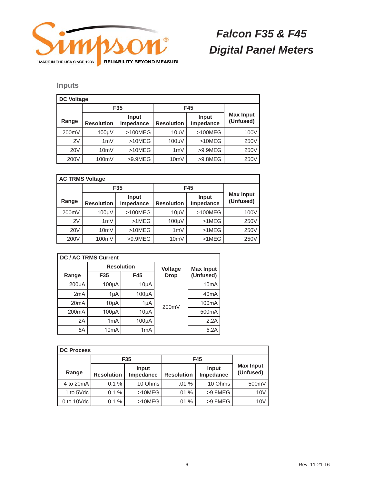

### **Inputs**

| <b>DC Voltage</b> |                    |                    |                    |                    |                               |  |
|-------------------|--------------------|--------------------|--------------------|--------------------|-------------------------------|--|
|                   | F35                |                    | F45                |                    |                               |  |
| Range             | <b>Resolution</b>  | Input<br>Impedance | <b>Resolution</b>  | Input<br>Impedance | <b>Max Input</b><br>(Unfused) |  |
| 200mV             | 100 <sub>µ</sub> V | $>100MEG$          | 10 <sub>µ</sub> V  | >100MEG            | 100V                          |  |
| 2V                | 1mV                | >10MEG             | 100 <sub>µ</sub> V | >10MEG             | 250V                          |  |
| <b>20V</b>        | 10 <sub>m</sub> V  | >10MEG             | 1mV                | $>9.9$ MEG         | 250V                          |  |
| 200V              | 100mV              | >9.9MEG            | 10mV               | >9.8MEG            | 250V                          |  |

| <b>AC TRMS Voltage</b> |                    |                    |                   |                    |                               |  |
|------------------------|--------------------|--------------------|-------------------|--------------------|-------------------------------|--|
|                        | F <sub>35</sub>    |                    | F45               |                    |                               |  |
| Range                  | <b>Resolution</b>  | Input<br>Impedance | <b>Resolution</b> | Input<br>Impedance | <b>Max Input</b><br>(Unfused) |  |
| 200mV                  | 100 <sub>µ</sub> V | >100MEG            | 10 <sub>µ</sub> V | >100MEG            | 100V                          |  |
| 2V                     | 1mV                | $>1$ MEG           | 100 <sub>µ</sub>  | $>1$ MEG           | 250V                          |  |
| <b>20V</b>             | 10mV               | >10MEG             | 1mV               | $>1$ MEG           | 250V                          |  |
| 200V                   | 100mV              | $>9.9$ MEG         | 10mV              | $>1$ MEG           | 250V                          |  |

| <b>DC / AC TRMS Current</b> |                   |                  |             |                    |  |  |
|-----------------------------|-------------------|------------------|-------------|--------------------|--|--|
|                             | <b>Resolution</b> |                  | Voltage     | <b>Max Input</b>   |  |  |
| Range                       | F35               | F45              | <b>Drop</b> | (Unfused)          |  |  |
| $200\mu A$                  | $100\mu A$        | $10\mu A$        |             | 10 <sub>m</sub> A  |  |  |
| 2mA                         | 1µA               | 100µA            |             | 40 <sub>m</sub> A  |  |  |
| 20 <sub>m</sub> A           | $10\mu A$         | 1µA              | 200mV       | 100 <sub>m</sub> A |  |  |
| 200 <sub>m</sub> A          | $100\mu A$        | $10\mu A$        |             | 500 <sub>m</sub> A |  |  |
| 2A                          | 1 <sub>m</sub> A  | $100\mu A$       |             | 2.2A               |  |  |
| 5A                          | 10 <sub>m</sub> A | 1 <sub>m</sub> A |             | 5.2A               |  |  |

| <b>DC Process</b> |                                         |                 |                   |                    |                               |  |
|-------------------|-----------------------------------------|-----------------|-------------------|--------------------|-------------------------------|--|
|                   |                                         | F <sub>35</sub> | F45               |                    |                               |  |
| Range             | Input<br><b>Resolution</b><br>Impedance |                 | <b>Resolution</b> | Input<br>Impedance | <b>Max Input</b><br>(Unfused) |  |
| 4 to 20 mA        | 0.1%                                    | 10 Ohms         | .01%              | 10 Ohms            | 500mV                         |  |
| 1 to 5Vdc         | 0.1%                                    | >10MEG          | .01%              | $>9.9$ MEG         | 10 <sub>V</sub>               |  |
| 0 to $10$ Vdc $ $ | 0.1%                                    | >10MEG          | .01%              | $>9.9$ MEG         | 10 <sub>V</sub>               |  |